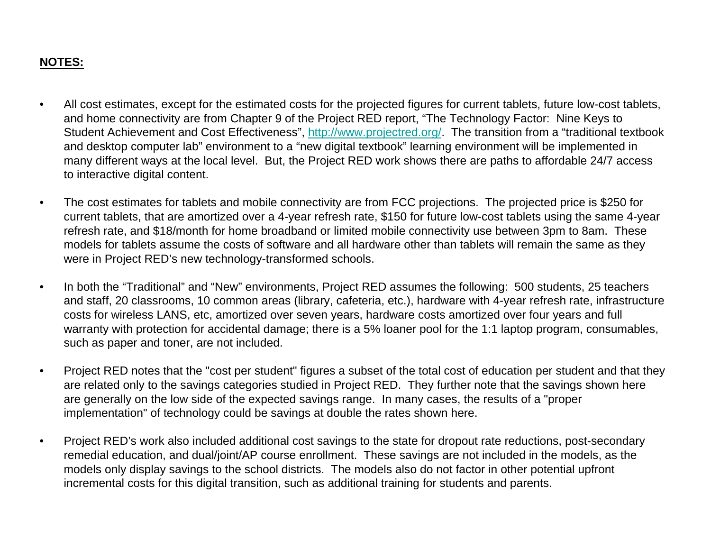#### **NOTES:**

- • All cost estimates, except for the estimated costs for the projected figures for current tablets, future low-cost tablets, and home connectivity are from Chapter 9 of the Project RED report, "The Technology Factor: Nine Keys to Student Achievement and Cost Effectiveness", http://www.projectred.org/. The transition from a "traditional textbook and desktop computer lab" environment to a "new digital textbook" learning environment will be implemented in many different ways at the local level. But, the Project RED work shows there are paths to affordable 24/7 access to interactive digital content.
- $\bullet$  The cost estimates for tablets and mobile connectivity are from FCC projections. The projected price is \$250 for current tablets, that are amortized over a 4-year refresh rate, \$150 for future low-cost tablets using the same 4-year refresh rate, and \$18/month for home broadband or limited mobile connectivity use between 3pm to 8am. These models for tablets assume the costs of software and all hardware other than tablets will remain the same as they were in Project RED's new technology-transformed schools.
- • In both the "Traditional" and "New" environments, Project RED assumes the following: 500 students, 25 teachers and staff, 20 classrooms, 10 common areas (library, cafeteria, etc.), hardware with 4-year refresh rate, infrastructure costs for wireless LANS, etc, amortized over seven years, hardware costs amortized over four years and full warranty with protection for accidental damage; there is a 5% loaner pool for the 1:1 laptop program, consumables, such as paper and toner, are not included.
- $\bullet$  Project RED notes that the "cost per student" figures a subset of the total cost of education per student and that they are related only to the savings categories studied in Project RED. They further note that the savings shown here are generally on the low side of the expected savings range. In many cases, the results of a "proper implementation" of technology could be savings at double the rates shown here.
- • Project RED's work also included additional cost savings to the state for dropout rate reductions, post-secondary remedial education, and dual/joint/AP course enrollment. These savings are not included in the models, as the models only display savings to the school districts. The models also do not factor in other potential upfront incremental costs for this digital transition, such as additional training for students and parents.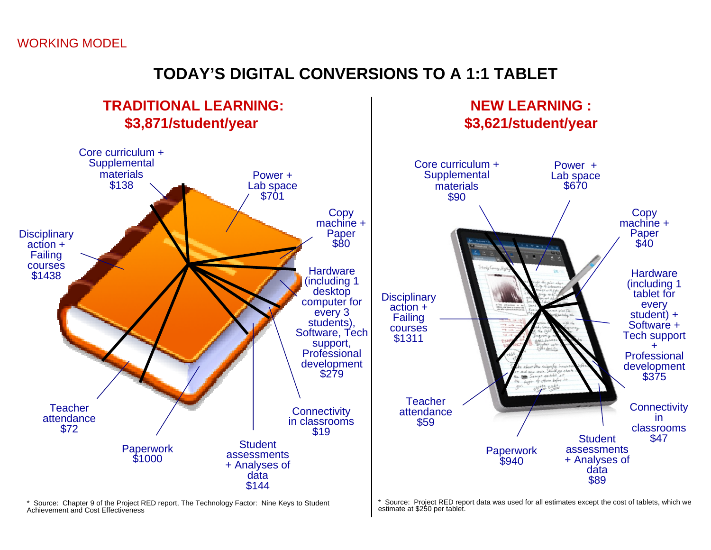### WORKING MODEL

## **TODAY'S DIGITAL CONVERSIONS TO A 1:1 TABLET**



\* Source: Chapter 9 of the Project RED report, The Technology Factor: Nine Keys to Student Achievement and Cost Effectiveness

\* Source: Project RED report data was used for all estimates except the cost of tablets, which we estimate at \$250 per tablet.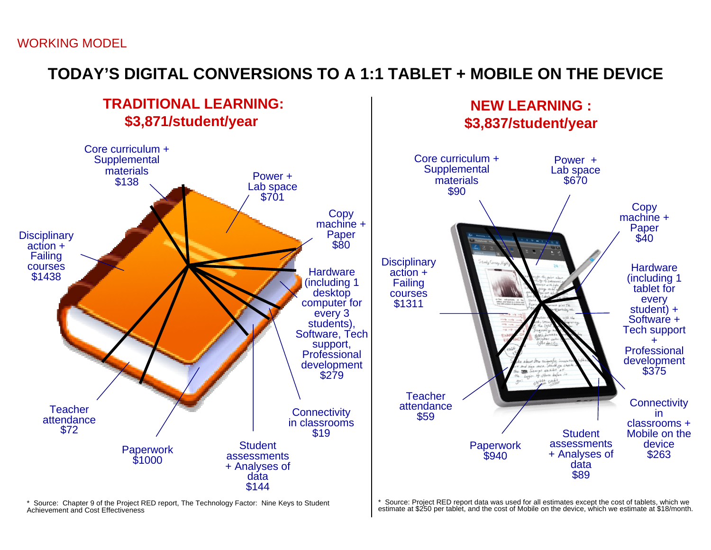# **TODAY'S DIGITAL CONVERSIONS TO A 1:1 TABLET + MOBILE ON THE DEVICE**



\* Source: Chapter 9 of the Project RED report, The Technology Factor: Nine Keys to Student Achievement and Cost Effectiveness

\* Source: Project RED report data was used for all estimates except the cost of tablets, which we estimate at \$250 per tablet, and the cost of Mobile on the device, which we estimate at \$18/month.